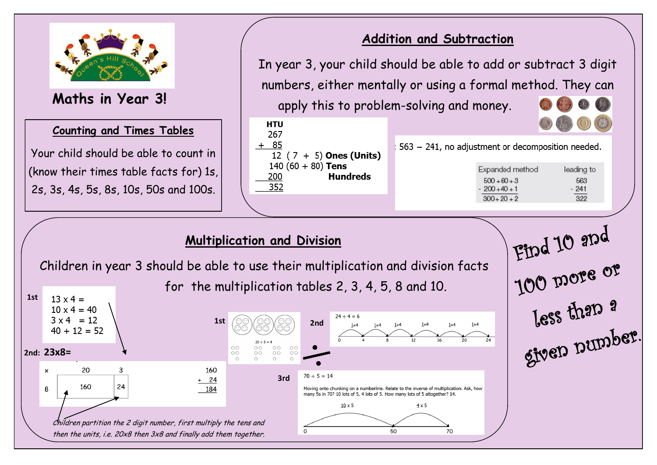